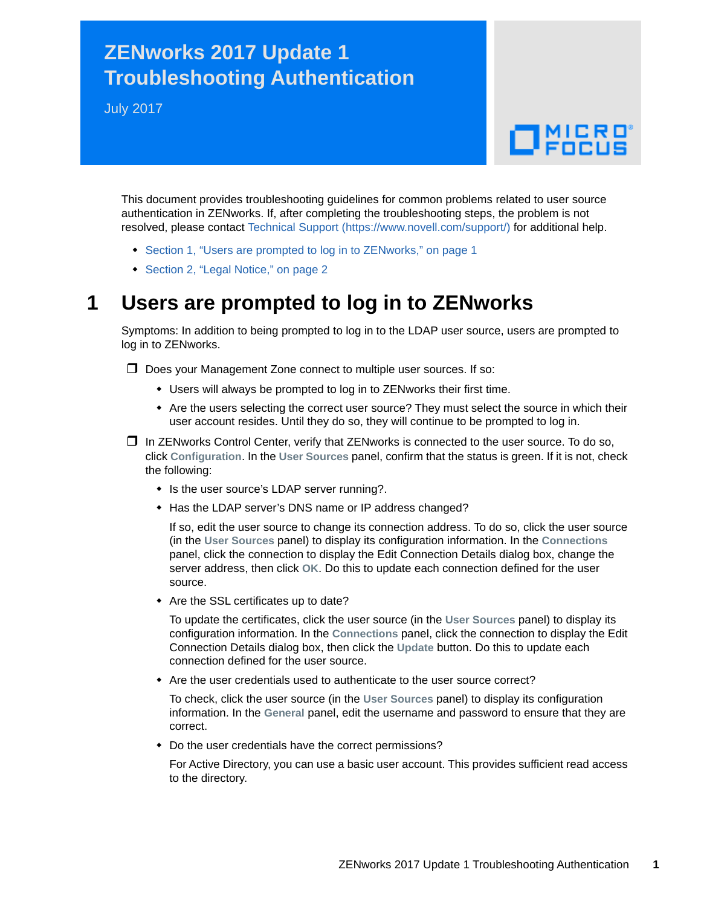## **ZENworks 2017 Update 1 Troubleshooting Authentication**

July 2017

## $\Box$ MICRO

This document provides troubleshooting guidelines for common problems related to user source authentication in ZENworks. If, after completing the troubleshooting steps, the problem is not resolved, please contact [Technical Support](https://www.novell.com/support/) (https://www.novell.com/support/) for additional help.

- [Section 1, "Users are prompted to log in to ZENworks," on page 1](#page-0-0)
- ◆ [Section 2, "Legal Notice," on page 2](#page-1-0)

## <span id="page-0-0"></span>**1 Users are prompted to log in to ZENworks**

Symptoms: In addition to being prompted to log in to the LDAP user source, users are prompted to log in to ZENworks.

 $\Box$  Does your Management Zone connect to multiple user sources. If so:

- Users will always be prompted to log in to ZENworks their first time.
- Are the users selecting the correct user source? They must select the source in which their user account resides. Until they do so, they will continue to be prompted to log in.

 $\Box$  In ZENworks Control Center, verify that ZENworks is connected to the user source. To do so, click **Configuration**. In the **User Sources** panel, confirm that the status is green. If it is not, check the following:

- Is the user source's LDAP server running?.
- Has the LDAP server's DNS name or IP address changed?

If so, edit the user source to change its connection address. To do so, click the user source (in the **User Sources** panel) to display its configuration information. In the **Connections** panel, click the connection to display the Edit Connection Details dialog box, change the server address, then click **OK**. Do this to update each connection defined for the user source.

• Are the SSL certificates up to date?

To update the certificates, click the user source (in the **User Sources** panel) to display its configuration information. In the **Connections** panel, click the connection to display the Edit Connection Details dialog box, then click the **Update** button. Do this to update each connection defined for the user source.

Are the user credentials used to authenticate to the user source correct?

To check, click the user source (in the **User Sources** panel) to display its configuration information. In the **General** panel, edit the username and password to ensure that they are correct.

Do the user credentials have the correct permissions?

For Active Directory, you can use a basic user account. This provides sufficient read access to the directory.